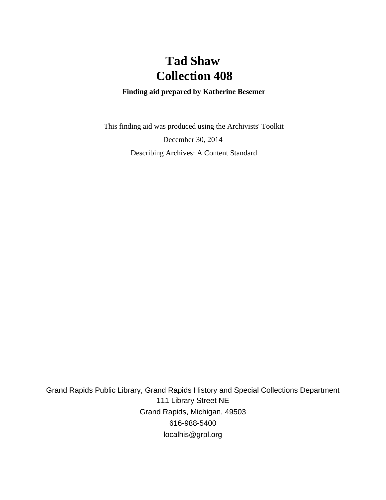# **Tad Shaw Collection 408**

#### **Finding aid prepared by Katherine Besemer**

 This finding aid was produced using the Archivists' Toolkit December 30, 2014 Describing Archives: A Content Standard

Grand Rapids Public Library, Grand Rapids History and Special Collections Department 111 Library Street NE Grand Rapids, Michigan, 49503 616-988-5400 localhis@grpl.org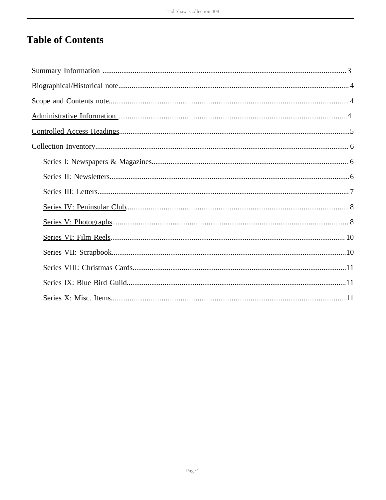## **Table of Contents**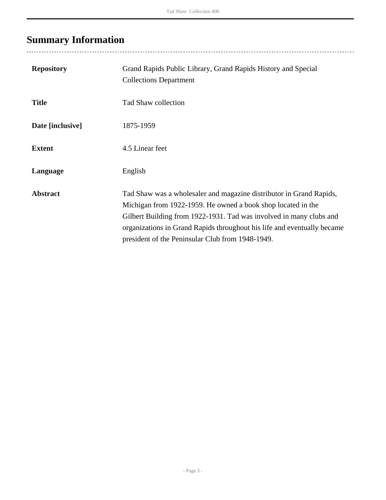# <span id="page-2-0"></span>**Summary Information**

| <b>Repository</b> | Grand Rapids Public Library, Grand Rapids History and Special<br><b>Collections Department</b>                                                                                                                                                                                                                                            |
|-------------------|-------------------------------------------------------------------------------------------------------------------------------------------------------------------------------------------------------------------------------------------------------------------------------------------------------------------------------------------|
| <b>Title</b>      | Tad Shaw collection                                                                                                                                                                                                                                                                                                                       |
| Date [inclusive]  | 1875-1959                                                                                                                                                                                                                                                                                                                                 |
| <b>Extent</b>     | 4.5 Linear feet                                                                                                                                                                                                                                                                                                                           |
| Language          | English                                                                                                                                                                                                                                                                                                                                   |
| <b>Abstract</b>   | Tad Shaw was a wholesaler and magazine distributor in Grand Rapids,<br>Michigan from 1922-1959. He owned a book shop located in the<br>Gilbert Building from 1922-1931. Tad was involved in many clubs and<br>organizations in Grand Rapids throughout his life and eventually became<br>president of the Peninsular Club from 1948-1949. |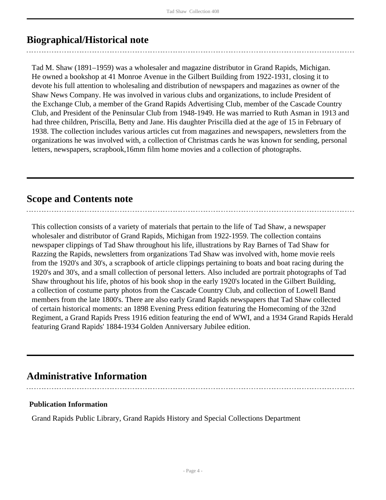## <span id="page-3-0"></span>**Biographical/Historical note**

Tad M. Shaw (1891–1959) was a wholesaler and magazine distributor in Grand Rapids, Michigan. He owned a bookshop at 41 Monroe Avenue in the Gilbert Building from 1922-1931, closing it to devote his full attention to wholesaling and distribution of newspapers and magazines as owner of the Shaw News Company. He was involved in various clubs and organizations, to include President of the Exchange Club, a member of the Grand Rapids Advertising Club, member of the Cascade Country Club, and President of the Peninsular Club from 1948-1949. He was married to Ruth Asman in 1913 and had three children, Priscilla, Betty and Jane. His daughter Priscilla died at the age of 15 in February of 1938. The collection includes various articles cut from magazines and newspapers, newsletters from the organizations he was involved with, a collection of Christmas cards he was known for sending, personal letters, newspapers, scrapbook,16mm film home movies and a collection of photographs.

### <span id="page-3-1"></span>**Scope and Contents note**

This collection consists of a variety of materials that pertain to the life of Tad Shaw, a newspaper wholesaler and distributor of Grand Rapids, Michigan from 1922-1959. The collection contains newspaper clippings of Tad Shaw throughout his life, illustrations by Ray Barnes of Tad Shaw for Razzing the Rapids, newsletters from organizations Tad Shaw was involved with, home movie reels from the 1920's and 30's, a scrapbook of article clippings pertaining to boats and boat racing during the 1920's and 30's, and a small collection of personal letters. Also included are portrait photographs of Tad Shaw throughout his life, photos of his book shop in the early 1920's located in the Gilbert Building, a collection of costume party photos from the Cascade Country Club, and collection of Lowell Band members from the late 1800's. There are also early Grand Rapids newspapers that Tad Shaw collected of certain historical moments: an 1898 Evening Press edition featuring the Homecoming of the 32nd Regiment, a Grand Rapids Press 1916 edition featuring the end of WWI, and a 1934 Grand Rapids Herald featuring Grand Rapids' 1884-1934 Golden Anniversary Jubilee edition.

### <span id="page-3-2"></span>**Administrative Information**

## **Publication Information**

Grand Rapids Public Library, Grand Rapids History and Special Collections Department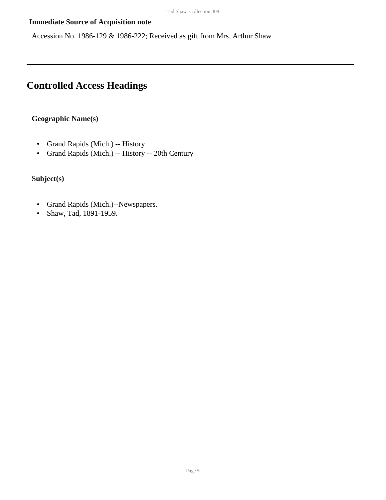#### **Immediate Source of Acquisition note**

Accession No. 1986-129 & 1986-222; Received as gift from Mrs. Arthur Shaw

## <span id="page-4-0"></span>**Controlled Access Headings**

#### **Geographic Name(s)**

---------------------------

- Grand Rapids (Mich.) -- History
- Grand Rapids (Mich.) -- History -- 20th Century

#### **Subject(s)**

- Grand Rapids (Mich.)--Newspapers.
- Shaw, Tad, 1891-1959.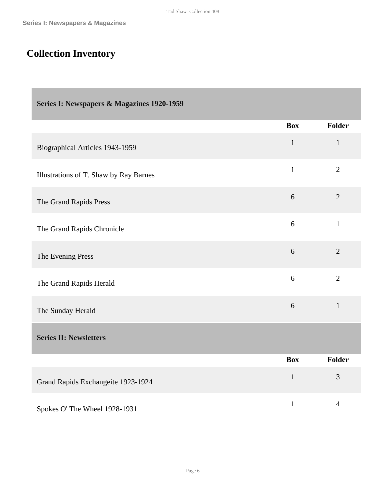# <span id="page-5-0"></span>**Collection Inventory**

<span id="page-5-2"></span><span id="page-5-1"></span>

| Series I: Newspapers & Magazines 1920-1959 |              |                |
|--------------------------------------------|--------------|----------------|
|                                            | <b>Box</b>   | <b>Folder</b>  |
| Biographical Articles 1943-1959            | $\mathbf{1}$ | $\mathbf{1}$   |
| Illustrations of T. Shaw by Ray Barnes     | $\mathbf{1}$ | $\overline{2}$ |
| The Grand Rapids Press                     | 6            | $\overline{2}$ |
| The Grand Rapids Chronicle                 | 6            | $\mathbf{1}$   |
| The Evening Press                          | 6            | $\overline{2}$ |
| The Grand Rapids Herald                    | 6            | $\overline{2}$ |
| The Sunday Herald                          | 6            | $\mathbf{1}$   |
| <b>Series II: Newsletters</b>              |              |                |
|                                            | <b>Box</b>   | <b>Folder</b>  |
| Grand Rapids Exchangeite 1923-1924         | $\mathbf{1}$ | 3              |
| Spokes O' The Wheel 1928-1931              | $\mathbf{1}$ | $\overline{4}$ |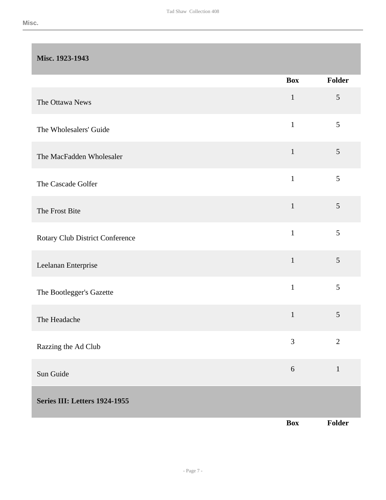#### **Misc. 1923-1943**

<span id="page-6-0"></span>

|                                      | <b>Box</b>   | Folder          |
|--------------------------------------|--------------|-----------------|
| The Ottawa News                      | $\mathbf{1}$ | $\mathfrak{S}$  |
| The Wholesalers' Guide               | $\mathbf{1}$ | 5               |
| The MacFadden Wholesaler             | $\mathbf{1}$ | $5\overline{)}$ |
| The Cascade Golfer                   | $\mathbf{1}$ | 5               |
| The Frost Bite                       | $\mathbf{1}$ | 5               |
| Rotary Club District Conference      | $\mathbf{1}$ | 5               |
| Leelanan Enterprise                  | $\mathbf{1}$ | 5               |
| The Bootlegger's Gazette             | $\mathbf{1}$ | 5               |
| The Headache                         | $\mathbf{1}$ | 5               |
| Razzing the Ad Club                  | 3            | $\mathfrak{2}$  |
| Sun Guide                            | $\sqrt{6}$   | $\mathbf{1}$    |
| <b>Series III: Letters 1924-1955</b> |              |                 |
|                                      | <b>Box</b>   | Folder          |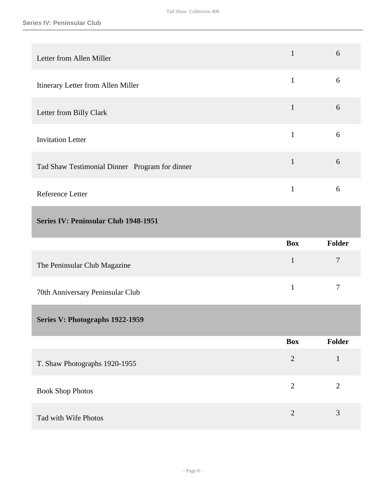<span id="page-7-1"></span><span id="page-7-0"></span>

| Letter from Allen Miller                       | $\mathbf{1}$   | 6              |
|------------------------------------------------|----------------|----------------|
| Itinerary Letter from Allen Miller             | $\mathbf{1}$   | 6              |
| Letter from Billy Clark                        | $\mathbf{1}$   | 6              |
| <b>Invitation Letter</b>                       | $\mathbf{1}$   | 6              |
| Tad Shaw Testimonial Dinner Program for dinner | $\mathbf{1}$   | 6              |
| Reference Letter                               | $\mathbf{1}$   | 6              |
| Series IV: Peninsular Club 1948-1951           |                |                |
|                                                |                |                |
|                                                | <b>Box</b>     | Folder         |
| The Peninsular Club Magazine                   | $\mathbf{1}$   | $\tau$         |
| 70th Anniversary Peninsular Club               | $\mathbf{1}$   | $\overline{7}$ |
| Series V: Photographs 1922-1959                |                |                |
|                                                | <b>Box</b>     | Folder         |
| T. Shaw Photographs 1920-1955                  | $\sqrt{2}$     | $\mathbf 1$    |
| <b>Book Shop Photos</b>                        | $\overline{2}$ | $\mathbf{2}$   |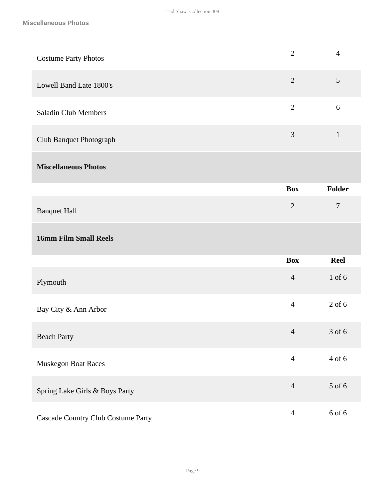| <b>Costume Party Photos</b>    | $\overline{2}$ | $\overline{4}$   |
|--------------------------------|----------------|------------------|
| Lowell Band Late 1800's        | $\overline{2}$ | 5                |
| <b>Saladin Club Members</b>    | $\overline{2}$ | 6                |
| Club Banquet Photograph        | 3              | $\mathbf{1}$     |
| <b>Miscellaneous Photos</b>    |                |                  |
|                                | <b>Box</b>     | Folder           |
| <b>Banquet Hall</b>            | $\overline{2}$ | $\boldsymbol{7}$ |
| <b>16mm Film Small Reels</b>   |                |                  |
|                                | <b>Box</b>     | <b>Reel</b>      |
| Plymouth                       | $\overline{4}$ | $1$ of $6$       |
| Bay City & Ann Arbor           | $\overline{4}$ | $2$ of 6         |
| <b>Beach Party</b>             | $\overline{4}$ | 3 of 6           |
| Muskegon Boat Races            | $\overline{4}$ | 4 of 6           |
|                                |                |                  |
| Spring Lake Girls & Boys Party | $\overline{4}$ | 5 of 6           |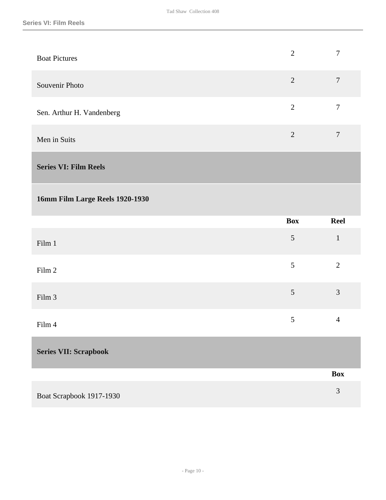| <b>Boat Pictures</b>      | $\overline{2}$ |   |
|---------------------------|----------------|---|
| Souvenir Photo            | 2              | 7 |
| Sen. Arthur H. Vandenberg | $\overline{2}$ | 7 |
| Men in Suits              | 2              | 7 |
|                           |                |   |

<span id="page-9-0"></span>**Series VI: Film Reels** 

#### **16mm Film Large Reels 1920-1930**

|                              | Box            | <b>Reel</b>    |
|------------------------------|----------------|----------------|
| Film 1                       | $\mathfrak{S}$ | $\mathbf{1}$   |
| Film 2                       | 5              | $\overline{2}$ |
| Film 3                       | $\mathfrak{S}$ | $\mathfrak{Z}$ |
| Film 4                       | 5              | $\overline{4}$ |
| <b>Series VII: Scrapbook</b> |                |                |
|                              |                | <b>Box</b>     |

<span id="page-9-1"></span>Boat Scrapbook 1917-1930 3